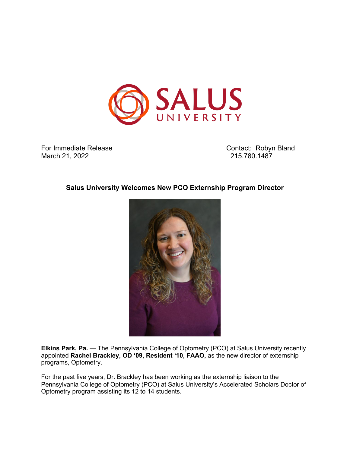

For Immediate Release **Contact: Robyn Bland** March 21, 2022 215.780.1487

## **Salus University Welcomes New PCO Externship Program Director**



**Elkins Park, Pa.** — The Pennsylvania College of Optometry (PCO) at Salus University recently appointed **Rachel Brackley, OD '09, Resident '10, FAAO,** as the new director of externship programs, Optometry.

For the past five years, Dr. Brackley has been working as the externship liaison to the Pennsylvania College of Optometry (PCO) at Salus University's Accelerated Scholars Doctor of Optometry program assisting its 12 to 14 students.